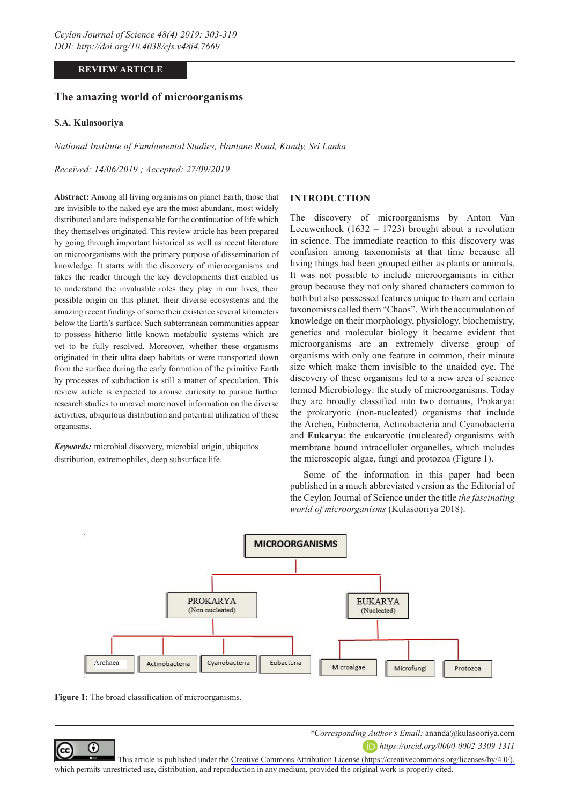# **REVIEW ARTICLE**

# **The amazing world of microorganisms**

### **S.A. Kulasooriya**

*National Institute of Fundamental Studies, Hantane Road, Kandy, Sri Lanka*

*Received: 14/06/2019 ; Accepted: 27/09/2019*

**Abstract:** Among all living organisms on planet Earth, those that are invisible to the naked eye are the most abundant, most widely distributed and are indispensable for the continuation of life which they themselves originated. This review article has been prepared by going through important historical as well as recent literature on microorganisms with the primary purpose of dissemination of knowledge. It starts with the discovery of microorganisms and takes the reader through the key developments that enabled us to understand the invaluable roles they play in our lives, their possible origin on this planet, their diverse ecosystems and the amazing recent findings of some their existence several kilometers below the Earth's surface. Such subterranean communities appear to possess hitherto little known metabolic systems which are yet to be fully resolved. Moreover, whether these organisms originated in their ultra deep habitats or were transported down from the surface during the early formation of the primitive Earth by processes of subduction is still a matter of speculation. This review article is expected to arouse curiosity to pursue further research studies to unravel more novel information on the diverse activities, ubiquitous distribution and potential utilization of these organisms.

*Keywords:* microbial discovery, microbial origin, ubiquitos distribution, extremophiles, deep subsurface life.

#### **INTRODUCTION**

The discovery of microorganisms by Anton Van Leeuwenhoek (1632 – 1723) brought about a revolution in science. The immediate reaction to this discovery was confusion among taxonomists at that time because all living things had been grouped either as plants or animals. It was not possible to include microorganisms in either group because they not only shared characters common to both but also possessed features unique to them and certain taxonomists called them "Chaos". With the accumulation of knowledge on their morphology, physiology, biochemistry, genetics and molecular biology it became evident that microorganisms are an extremely diverse group of organisms with only one feature in common, their minute size which make them invisible to the unaided eye. The discovery of these organisms led to a new area of science termed Microbiology: the study of microorganisms. Today they are broadly classified into two domains, Prokarya: the prokaryotic (non-nucleated) organisms that include the Archea, Eubacteria, Actinobacteria and Cyanobacteria and **Eukarya**: the eukaryotic (nucleated) organisms with membrane bound intracelluler organelles, which includes the microscopic algae, fungi and protozoa (Figure 1).

Some of the information in this paper had been published in a much abbreviated version as the Editorial of the Ceylon Journal of Science under the title *the fascinating world of microorganisms* (Kulasooriya 2018).



Figure 1: The broad classification of microorganisms.

⋒

*\*Corresponding Author's Email:* ananda@kulasooriya.com

*https://orcid.org/0000-0002-3309-1311*

(cc This article is published under the [Creative Commons Attribution License \(https://creativecommons.org/licenses/by/4.0/\),](https://creativecommons.org/licenses/by/4.0/)  which permits unrestricted use, distribution, and reproduction in any medium, provided the original work is properly cited.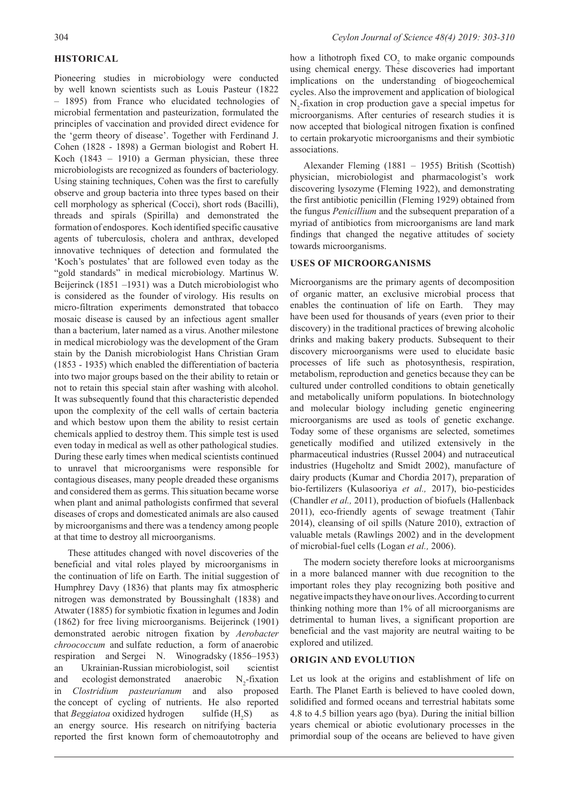# **HISTORICAL**

Pioneering studies in microbiology were conducted by well known scientists such as Louis Pasteur (1822 – 1895) from France who elucidated technologies of microbial fermentation and pasteurization, formulated the principles of vaccination and provided direct evidence for the 'germ theory of disease'. Together with Ferdinand J. Cohen (1828 - 1898) a German biologist and Robert H. Koch  $(1843 - 1910)$  a German physician, these three microbiologists are recognized as founders of bacteriology. Using staining techniques, Cohen was the first to carefully observe and group bacteria into three types based on their cell morphology as spherical (Cocci), short rods (Bacilli), threads and spirals (Spirilla) and demonstrated the formation of endospores. Koch identified specific causative agents of tuberculosis, cholera and anthrax, developed innovative techniques of detection and formulated the 'Koch's postulates' that are followed even today as the "gold standards" in medical microbiology. Martinus W. Beijerinck (1851 –1931) was a Dutch microbiologist who is considered as the founder of virology. His results on micro-filtration experiments demonstrated that tobacco mosaic disease is caused by an infectious agent smaller than a bacterium, later named as a virus. Another milestone in medical microbiology was the development of the Gram stain by the Danish microbiologist Hans Christian Gram (1853 - 1935) which enabled the differentiation of bacteria into two major groups based on the their ability to retain or not to retain this special stain after washing with alcohol. It was subsequently found that this characteristic depended upon the complexity of the cell walls of certain bacteria and which bestow upon them the ability to resist certain chemicals applied to destroy them. This simple test is used even today in medical as well as other pathological studies. During these early times when medical scientists continued to unravel that microorganisms were responsible for contagious diseases, many people dreaded these organisms and considered them as germs. This situation became worse when plant and animal pathologists confirmed that several diseases of crops and domesticated animals are also caused by microorganisms and there was a tendency among people at that time to destroy all microorganisms.

These attitudes changed with novel discoveries of the beneficial and vital roles played by microorganisms in the continuation of life on Earth. The initial suggestion of Humphrey Davy (1836) that plants may fix atmospheric nitrogen was demonstrated by Boussinghalt (1838) and Atwater (1885) for symbiotic fixation in legumes and Jodin (1862) for free living microorganisms. Beijerinck (1901) demonstrated aerobic nitrogen fixation by *Aerobacter chroococcum* and sulfate reduction, a form of anaerobic respiration and Sergei N. Winogradsky (1856–1953) an Ukrainian-Russian microbiologist, soil scientist and ecologist demonstrated anaerobic  $N_2$ -fixation<br>in *Clostridium pasteurianum* and also proposed N<sub>2</sub>-fixation in *Clostridium* pasteurianum the concept of cycling of nutrients. He also reported that *Beggiatoa* oxidized hydrogen sulfide  $(H, S)$  as an energy source. His research on nitrifying bacteria reported the first known form of chemoautotrophy and

how a lithotroph fixed  $CO<sub>2</sub>$  to make organic compounds using chemical energy. These discoveries had important implications on the understanding of biogeochemical cycles. Also the improvement and application of biological  $N_2$ -fixation in crop production gave a special impetus for microorganisms. After centuries of research studies it is now accepted that biological nitrogen fixation is confined to certain prokaryotic microorganisms and their symbiotic associations.

Alexander Fleming (1881 – 1955) British (Scottish) physician, microbiologist and pharmacologist's work discovering lysozyme (Fleming 1922), and demonstrating the first antibiotic penicillin (Fleming 1929) obtained from the fungus *Penicillium* and the subsequent preparation of a myriad of antibiotics from microorganisms are land mark findings that changed the negative attitudes of society towards microorganisms.

#### **USES OF MICROORGANISMS**

Microorganisms are the primary agents of decomposition of organic matter, an exclusive microbial process that enables the continuation of life on Earth. They may have been used for thousands of years (even prior to their discovery) in the traditional practices of brewing alcoholic drinks and making bakery products. Subsequent to their discovery microorganisms were used to elucidate basic processes of life such as photosynthesis, respiration, metabolism, reproduction and genetics because they can be cultured under controlled conditions to obtain genetically and metabolically uniform populations. In biotechnology and molecular biology including genetic engineering microorganisms are used as tools of genetic exchange. Today some of these organisms are selected, sometimes genetically modified and utilized extensively in the pharmaceutical industries (Russel 2004) and nutraceutical industries (Hugeholtz and Smidt 2002), manufacture of dairy products (Kumar and Chordia 2017), preparation of bio-fertilizers (Kulasooriya *et al.,* 2017), bio-pesticides (Chandler *et al.,* 2011), production of biofuels (Hallenback 2011), eco-friendly agents of sewage treatment (Tahir 2014), cleansing of oil spills (Nature 2010), extraction of valuable metals (Rawlings 2002) and in the development of microbial-fuel cells (Logan *et al.,* 2006).

The modern society therefore looks at microorganisms in a more balanced manner with due recognition to the important roles they play recognizing both positive and negative impacts they have on our lives. According to current thinking nothing more than 1% of all microorganisms are detrimental to human lives, a significant proportion are beneficial and the vast majority are neutral waiting to be explored and utilized.

#### **ORIGIN AND EVOLUTION**

Let us look at the origins and establishment of life on Earth. The Planet Earth is believed to have cooled down, solidified and formed oceans and terrestrial habitats some 4.8 to 4.5 billion years ago (bya). During the initial billion years chemical or abiotic evolutionary processes in the primordial soup of the oceans are believed to have given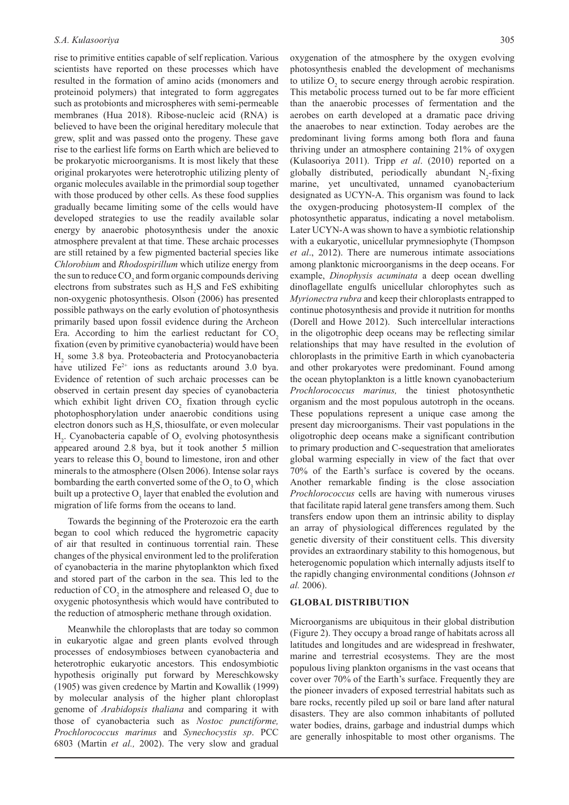rise to primitive entities capable of self replication. Various scientists have reported on these processes which have resulted in the formation of amino acids (monomers and proteinoid polymers) that integrated to form aggregates such as protobionts and microspheres with semi-permeable membranes (Hua 2018). Ribose-nucleic acid (RNA) is believed to have been the original hereditary molecule that grew, split and was passed onto the progeny. These gave rise to the earliest life forms on Earth which are believed to be prokaryotic microorganisms. It is most likely that these original prokaryotes were heterotrophic utilizing plenty of organic molecules available in the primordial soup together with those produced by other cells. As these food supplies gradually became limiting some of the cells would have developed strategies to use the readily available solar energy by anaerobic photosynthesis under the anoxic atmosphere prevalent at that time. These archaic processes are still retained by a few pigmented bacterial species like *Chlorobium* and *Rhodospirillum* which utilize energy from the sun to reduce  $CO_2$  and form organic compounds deriving electrons from substrates such as  $H_2S$  and FeS exhibiting non-oxygenic photosynthesis. Olson (2006) has presented possible pathways on the early evolution of photosynthesis primarily based upon fossil evidence during the Archeon Era. According to him the earliest reductant for  $CO<sub>2</sub>$ fixation (even by primitive cyanobacteria) would have been H2 some 3.8 bya. Proteobacteria and Protocyanobacteria have utilized  $Fe^{2+}$  ions as reductants around 3.0 bya. Evidence of retention of such archaic processes can be observed in certain present day species of cyanobacteria which exhibit light driven  $CO<sub>2</sub>$  fixation through cyclic photophosphorylation under anaerobic conditions using electron donors such as  $H_2S$ , thiosulfate, or even molecular  $H_2$ . Cyanobacteria capable of  $O_2$  evolving photosynthesis appeared around 2.8 bya, but it took another 5 million years to release this  $O_2$  bound to limestone, iron and other minerals to the atmosphere (Olsen 2006). Intense solar rays bombarding the earth converted some of the  $O_2$  to  $O_3$  which built up a protective  $O_3$  layer that enabled the evolution and migration of life forms from the oceans to land.

Towards the beginning of the Proterozoic era the earth began to cool which reduced the hygrometric capacity of air that resulted in continuous torrential rain. These changes of the physical environment led to the proliferation of cyanobacteria in the marine phytoplankton which fixed and stored part of the carbon in the sea. This led to the reduction of  $CO_2$  in the atmosphere and released  $O_2$  due to oxygenic photosynthesis which would have contributed to the reduction of atmospheric methane through oxidation.

Meanwhile the chloroplasts that are today so common in eukaryotic algae and green plants evolved through processes of endosymbioses between cyanobacteria and heterotrophic eukaryotic ancestors. This endosymbiotic hypothesis originally put forward by Mereschkowsky (1905) was given credence by Martin and Kowallik (1999) by molecular analysis of the higher plant chloroplast genome of *Arabidopsis thaliana* and comparing it with those of cyanobacteria such as *Nostoc punctiforme, Prochlorococcus marinus* and *Synechocystis sp*. PCC 6803 (Martin *et al.,* 2002). The very slow and gradual

oxygenation of the atmosphere by the oxygen evolving photosynthesis enabled the development of mechanisms to utilize  $O_2$  to secure energy through aerobic respiration. This metabolic process turned out to be far more efficient than the anaerobic processes of fermentation and the aerobes on earth developed at a dramatic pace driving the anaerobes to near extinction. Today aerobes are the predominant living forms among both flora and fauna thriving under an atmosphere containing 21% of oxygen (Kulasooriya 2011). Tripp *et al*. (2010) reported on a globally distributed, periodically abundant  $N_2$ -fixing marine, yet uncultivated, unnamed cyanobacterium designated as UCYN-A. This organism was found to lack the oxygen-producing photosystem-II complex of the photosynthetic apparatus, indicating a novel metabolism. Later UCYN-A was shown to have a symbiotic relationship with a eukaryotic, unicellular prymnesiophyte (Thompson *et al*., 2012). There are numerous intimate associations among planktonic microorganisms in the deep oceans. For example, *Dinophysis acuminata* a deep ocean dwelling dinoflagellate engulfs unicellular chlorophytes such as *Myrionectra rubra* and keep their chloroplasts entrapped to continue photosynthesis and provide it nutrition for months (Dorell and Howe 2012). Such intercellular interactions in the oligotrophic deep oceans may be reflecting similar relationships that may have resulted in the evolution of chloroplasts in the primitive Earth in which cyanobacteria and other prokaryotes were predominant. Found among the ocean phytoplankton is a little known cyanobacterium *Prochlorococcus marinus,* the tiniest photosynthetic organism and the most populous autotroph in the oceans. These populations represent a unique case among the present day microorganisms. Their vast populations in the oligotrophic deep oceans make a significant contribution to primary production and C-sequestration that ameliorates global warming especially in view of the fact that over 70% of the Earth's surface is covered by the oceans. Another remarkable finding is the close association *Prochlorococcus* cells are having with numerous viruses that facilitate rapid lateral gene transfers among them. Such transfers endow upon them an intrinsic ability to display an array of physiological differences regulated by the genetic diversity of their constituent cells. This diversity provides an extraordinary stability to this homogenous, but heterogenomic population which internally adjusts itself to the rapidly changing environmental conditions (Johnson *et al.* 2006).

### **GLOBAL DISTRIBUTION**

Microorganisms are ubiquitous in their global distribution (Figure 2). They occupy a broad range of habitats across all latitudes and longitudes and are widespread in freshwater, marine and terrestrial ecosystems. They are the most populous living plankton organisms in the vast oceans that cover over 70% of the Earth's surface. Frequently they are the pioneer invaders of exposed terrestrial habitats such as bare rocks, recently piled up soil or bare land after natural disasters. They are also common inhabitants of polluted water bodies, drains, garbage and industrial dumps which are generally inhospitable to most other organisms. The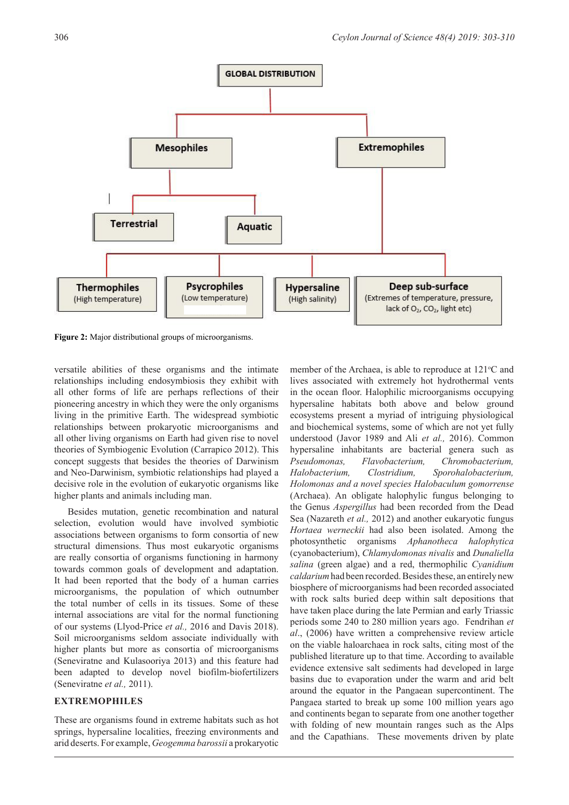

**Figure 2:** Major distributional groups of microorganisms.

versatile abilities of these organisms and the intimate relationships including endosymbiosis they exhibit with all other forms of life are perhaps reflections of their pioneering ancestry in which they were the only organisms living in the primitive Earth. The widespread symbiotic relationships between prokaryotic microorganisms and all other living organisms on Earth had given rise to novel theories of Symbiogenic Evolution (Carrapico 2012). This concept suggests that besides the theories of Darwinism and Neo-Darwinism, symbiotic relationships had played a decisive role in the evolution of eukaryotic organisms like higher plants and animals including man.

Besides mutation, genetic recombination and natural selection, evolution would have involved symbiotic associations between organisms to form consortia of new structural dimensions. Thus most eukaryotic organisms are really consortia of organisms functioning in harmony towards common goals of development and adaptation. It had been reported that the body of a human carries microorganisms, the population of which outnumber the total number of cells in its tissues. Some of these internal associations are vital for the normal functioning of our systems (Llyod-Price *et al.,* 2016 and Davis 2018). Soil microorganisms seldom associate individually with higher plants but more as consortia of microorganisms (Seneviratne and Kulasooriya 2013) and this feature had been adapted to develop novel biofilm-biofertilizers (Seneviratne *et al.,* 2011).

### **EXTREMOPHILES**

These are organisms found in extreme habitats such as hot springs, hypersaline localities, freezing environments and arid deserts. For example, *Geogemma barossii* a prokaryotic member of the Archaea, is able to reproduce at  $121^{\circ}$ C and lives associated with extremely hot hydrothermal vents in the ocean floor. Halophilic microorganisms occupying hypersaline habitats both above and below ground ecosystems present a myriad of intriguing physiological and biochemical systems, some of which are not yet fully understood (Javor 1989 and Ali *et al.,* 2016). Common hypersaline inhabitants are bacterial genera such as *Pseudomonas, Flavobacterium, Chromobacterium, Halobacterium, Clostridium, Sporohalobacterium, Holomonas and a novel species Halobaculum gomorrense* (Archaea). An obligate halophylic fungus belonging to the Genus *Aspergillus* had been recorded from the Dead Sea (Nazareth *et al.,* 2012) and another eukaryotic fungus *Hortaea werneckii* had also been isolated. Among the photosynthetic organisms *Aphanotheca halophytica* (cyanobacterium), *Chlamydomonas nivalis* and *Dunaliella salina* (green algae) and a red, thermophilic *Cyanidium caldarium* had been recorded. Besides these, an entirely new biosphere of microorganisms had been recorded associated with rock salts buried deep within salt depositions that have taken place during the late Permian and early Triassic periods some 240 to 280 million years ago. Fendrihan *et al*., (2006) have written a comprehensive review article on the viable haloarchaea in rock salts, citing most of the published literature up to that time. According to available evidence extensive salt sediments had developed in large basins due to evaporation under the warm and arid belt around the equator in the Pangaean supercontinent. The Pangaea started to break up some 100 million years ago and continents began to separate from one another together with folding of new mountain ranges such as the Alps and the Capathians. These movements driven by plate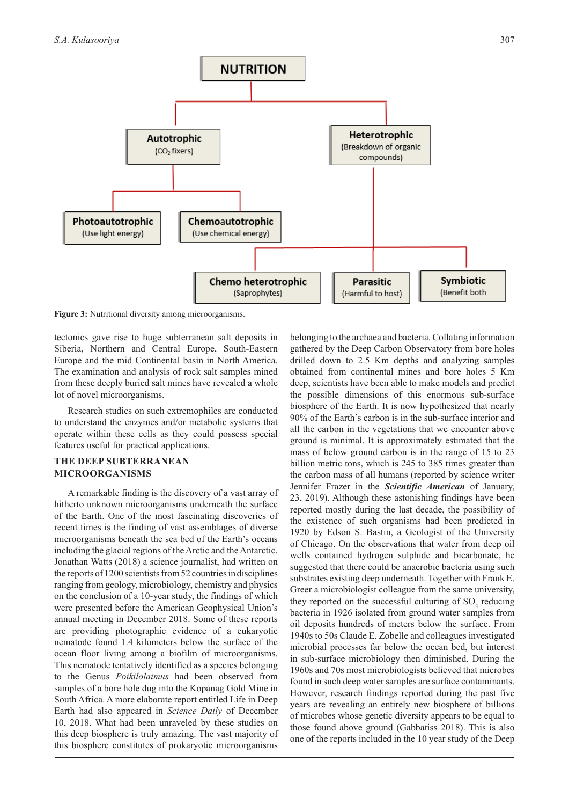

**Figure 3:** Nutritional diversity among microorganisms.

tectonics gave rise to huge subterranean salt deposits in Siberia, Northern and Central Europe, South-Eastern Europe and the mid Continental basin in North America. The examination and analysis of rock salt samples mined from these deeply buried salt mines have revealed a whole lot of novel microorganisms.

Research studies on such extremophiles are conducted to understand the enzymes and/or metabolic systems that operate within these cells as they could possess special features useful for practical applications.

### **THE DEEP SUBTERRANEAN MICROORGANISMS**

A remarkable finding is the discovery of a vast array of hitherto unknown microorganisms underneath the surface of the Earth. One of the most fascinating discoveries of recent times is the finding of vast assemblages of diverse microorganisms beneath the sea bed of the Earth's oceans including the glacial regions of the Arctic and the Antarctic. Jonathan Watts (2018) a science journalist, had written on the reports of 1200 scientists from 52 countries in disciplines ranging from geology, microbiology, chemistry and physics on the conclusion of a 10-year study, the findings of which were presented before the American Geophysical Union's annual meeting in December 2018. Some of these reports are providing photographic evidence of a eukaryotic nematode found 1.4 kilometers below the surface of the ocean floor living among a biofilm of microorganisms. This nematode tentatively identified as a species belonging to the Genus *Poikilolaimus* had been observed from samples of a bore hole dug into the Kopanag Gold Mine in South Africa. A more elaborate report entitled Life in Deep Earth had also appeared in *Science Daily* of December 10, 2018. What had been unraveled by these studies on this deep biosphere is truly amazing. The vast majority of this biosphere constitutes of prokaryotic microorganisms belonging to the archaea and bacteria. Collating information gathered by the Deep Carbon Observatory from bore holes drilled down to 2.5 Km depths and analyzing samples obtained from continental mines and bore holes 5 Km deep, scientists have been able to make models and predict the possible dimensions of this enormous sub-surface biosphere of the Earth. It is now hypothesized that nearly 90% of the Earth's carbon is in the sub-surface interior and all the carbon in the vegetations that we encounter above ground is minimal. It is approximately estimated that the mass of below ground carbon is in the range of 15 to 23 billion metric tons, which is 245 to 385 times greater than the carbon mass of all humans (reported by science writer Jennifer Frazer in the *Scientific American* of January, 23, 2019). Although these astonishing findings have been reported mostly during the last decade, the possibility of the existence of such organisms had been predicted in 1920 by Edson S. Bastin, a Geologist of the University of Chicago. On the observations that water from deep oil wells contained hydrogen sulphide and bicarbonate, he suggested that there could be anaerobic bacteria using such substrates existing deep underneath. Together with Frank E. Greer a microbiologist colleague from the same university, they reported on the successful culturing of  $SO<sub>4</sub>$  reducing bacteria in 1926 isolated from ground water samples from oil deposits hundreds of meters below the surface. From 1940s to 50s Claude E. Zobelle and colleagues investigated microbial processes far below the ocean bed, but interest in sub-surface microbiology then diminished. During the 1960s and 70s most microbiologists believed that microbes found in such deep water samples are surface contaminants. However, research findings reported during the past five years are revealing an entirely new biosphere of billions of microbes whose genetic diversity appears to be equal to those found above ground (Gabbatiss 2018). This is also one of the reports included in the 10 year study of the Deep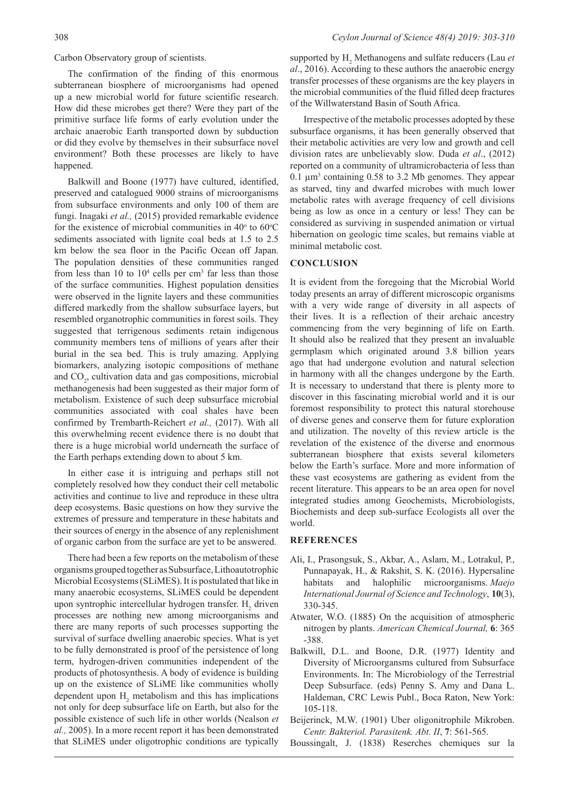Carbon Observatory group of scientists.

The confirmation of the finding of this enormous subterranean biosphere of microorganisms had opened up a new microbial world for future scientific research. How did these microbes get there? Were they part of the primitive surface life forms of early evolution under the archaic anaerobic Earth transported down by subduction or did they evolve by themselves in their subsurface novel environment? Both these processes are likely to have happened.

Balkwill and Boone (1977) have cultured, identified, preserved and catalogued 9000 strains of microorganisms from subsurface environments and only 100 of them are fungi. Inagaki *et al.,* (2015) provided remarkable evidence for the existence of microbial communities in  $40^{\circ}$  to  $60^{\circ}$ C sediments associated with lignite coal beds at 1.5 to 2.5 km below the sea floor in the Pacific Ocean off Japan. The population densities of these communities ranged from less than 10 to  $10<sup>4</sup>$  cells per cm<sup>3</sup> far less than those of the surface communities. Highest population densities were observed in the lignite layers and these communities differed markedly from the shallow subsurface layers, but resembled organotrophic communities in forest soils. They suggested that terrigenous sediments retain indigenous community members tens of millions of years after their burial in the sea bed. This is truly amazing. Applying biomarkers, analyzing isotopic compositions of methane and  $CO<sub>2</sub>$ , cultivation data and gas compositions, microbial methanogenesis had been suggested as their major form of metabolism. Existence of such deep subsurface microbial communities associated with coal shales have been confirmed by Trembarth-Reichert *et al.,* (2017). With all this overwhelming recent evidence there is no doubt that there is a huge microbial world underneath the surface of the Earth perhaps extending down to about 5 km.

In either case it is intriguing and perhaps still not completely resolved how they conduct their cell metabolic activities and continue to live and reproduce in these ultra deep ecosystems. Basic questions on how they survive the extremes of pressure and temperature in these habitats and their sources of energy in the absence of any replenishment of organic carbon from the surface are yet to be answered.

There had been a few reports on the metabolism of these organisms grouped together as Subsurface, Lithoautotrophic Microbial Ecosystems (SLiMES). It is postulated that like in many anaerobic ecosystems, SLiMES could be dependent upon syntrophic intercellular hydrogen transfer.  $H_2$  driven processes are nothing new among microorganisms and there are many reports of such processes supporting the survival of surface dwelling anaerobic species. What is yet to be fully demonstrated is proof of the persistence of long term, hydrogen-driven communities independent of the products of photosynthesis. A body of evidence is building up on the existence of SLiME like communities wholly dependent upon  $H_2$  metabolism and this has implications not only for deep subsurface life on Earth, but also for the possible existence of such life in other worlds (Nealson *et al.,* 2005). In a more recent report it has been demonstrated that SLiMES under oligotrophic conditions are typically

supported by H<sub>2</sub> Methanogens and sulfate reducers (Lau *et al*., 2016). According to these authors the anaerobic energy transfer processes of these organisms are the key players in the microbial communities of the fluid filled deep fractures of the Willwaterstand Basin of South Africa.

Irrespective of the metabolic processes adopted by these subsurface organisms, it has been generally observed that their metabolic activities are very low and growth and cell division rates are unbelievably slow. Duda *et al*., (2012) reported on a community of ultramicrobacteria of less than  $0.1 \mu m<sup>3</sup>$  containing 0.58 to 3.2 Mb genomes. They appear as starved, tiny and dwarfed microbes with much lower metabolic rates with average frequency of cell divisions being as low as once in a century or less! They can be considered as surviving in suspended animation or virtual hibernation on geologic time scales, but remains viable at minimal metabolic cost.

### **CONCLUSION**

It is evident from the foregoing that the Microbial World today presents an array of different microscopic organisms with a very wide range of diversity in all aspects of their lives. It is a reflection of their archaic ancestry commencing from the very beginning of life on Earth. It should also be realized that they present an invaluable germplasm which originated around 3.8 billion years ago that had undergone evolution and natural selection in harmony with all the changes undergone by the Earth. It is necessary to understand that there is plenty more to discover in this fascinating microbial world and it is our foremost responsibility to protect this natural storehouse of diverse genes and conserve them for future exploration and utilization. The novelty of this review article is the revelation of the existence of the diverse and enormous subterranean biosphere that exists several kilometers below the Earth's surface. More and more information of these vast ecosystems are gathering as evident from the recent literature. This appears to be an area open for novel integrated studies among Geochemists, Microbiologists, Biochemists and deep sub-surface Ecologists all over the world.

## **REFERENCES**

- Ali, I., Prasongsuk, S., Akbar, A., Aslam, M., Lotrakul, P., Punnapayak, H., & Rakshit, S. K. (2016). Hypersaline habitats and halophilic microorganisms. *Maejo International Journal of Science and Technology*, **10**(3), 330-345.
- Atwater, W.O. (1885) On the acquisition of atmospheric nitrogen by plants. *American Chemical Journal,* **6**: 365 -388.
- Balkwill, D.L. and Boone, D.R. (1977) Identity and Diversity of Microorgansms cultured from Subsurface Environments. In: The Microbiology of the Terrestrial Deep Subsurface. (eds) Penny S. Amy and Dana L. Haldeman, CRC Lewis Publ., Boca Raton, New York: 105-118.
- Beijerinck, M.W. (1901) Uber oligonitrophile Mikroben. *Centr. Bakteriol. Parasitenk. Abt. II*, **7**: 561-565.

Boussingalt, J. (1838) Reserches chemiques sur la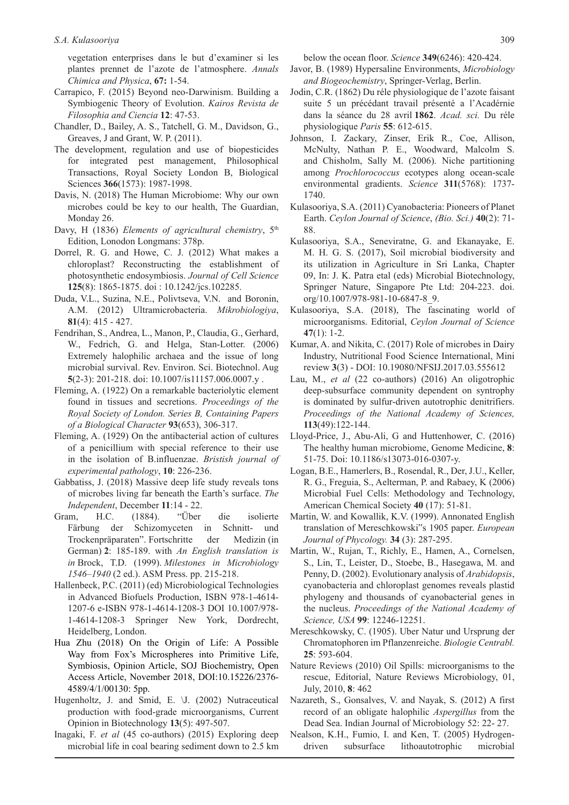vegetation enterprises dans le but d'examiner si les plantes prennet de l'azote de l'atmosphere. *Annals Chimica and Physica*, **67:** 1-54.

- Carrapico, F. (2015) Beyond neo-Darwinism. Building a Symbiogenic Theory of Evolution. *Kairos Revista de Filosophia and Ciencia* **12**: 47-53.
- Chandler, D., Bailey, A. S., Tatchell, G. M., Davidson, G., Greaves, J and Grant, W. P. (2011).
- The development, regulation and use of biopesticides for integrated pest management, Philosophical Transactions, Royal Society London B, Biological Sciences **366**(1573): 1987-1998.
- Davis, N. (2018) The Human Microbiome: Why our own microbes could be key to our health, The Guardian, Monday 26.
- Davy, H (1836) *Elements of agricultural chemistry*, 5<sup>th</sup> Edition, Lonodon Longmans: 378p.
- Dorrel, R. G. and Howe, C. J. (2012) What makes a chloroplast? Reconstructing the establishment of photosynthetic endosymbiosis. *Journal of Cell Science*  **125**(8): 1865-1875. doi : 10.1242/jcs.102285.
- Duda, V.L., Suzina, N.E., Polivtseva, V.N. and Boronin, A.M. (2012) Ultramicrobacteria. *Mikrobiologiya*, **81**(4): 415 - 427.
- Fendrihan, S., Andrea, L., Manon, P., Claudia, G., Gerhard, W., Fedrich, G. and Helga, Stan-Lotter. (2006) Extremely halophilic archaea and the issue of long microbial survival. Rev. Environ. Sci. Biotechnol. Aug **5**(2-3): 201-218. doi: 10.1007/is11157.006.0007.y .
- Fleming, A. (1922) On a remarkable bacteriolytic element found in tissues and secretions. *Proceedings of the Royal Society of London. Series B, Containing Papers of a Biological Character* **93**(653), 306-317.
- Fleming, A. (1929) On the antibacterial action of cultures of a penicillium with special reference to their use in the isolation of B.influenzae. *Bristish journal of experimental pathology*, **10**: 226-236.
- Gabbatiss, J. (2018) Massive deep life study reveals tons of microbes living far beneath the Earth's surface. *The Independent*, December **11**:14 - 22.
- Gram, H.C. (1884). "Über die isolierte Färbung der Schizomyceten in Schnitt- und Trockenpräparaten". Fortschritte der Medizin (in German) **2**: 185-189. with *An English translation is in* Brock, T.D. (1999). *Milestones in Microbiology 1546–1940* (2 ed.). ASM Press. pp. 215-218.
- Hallenbeck, P.C. (2011) (ed) Microbiological Technologies in Advanced Biofuels Production, ISBN 978-1-4614- 1207-6 e-ISBN 978-1-4614-1208-3 DOI 10.1007/978- 1-4614-1208-3 Springer New York, Dordrecht, Heidelberg, London.
- Hua Zhu (2018) On the Origin of Life: A Possible Way from Fox's Microspheres into Primitive Life, Symbiosis, Opinion Article, SOJ Biochemistry, Open Access Article, November 2018, DOI:10.15226/2376- 4589/4/1/00130: 5pp.
- Hugenholtz, J. and Smid, E. \J. (2002) Nutraceutical production with food-grade microorganisms, Current Opinion in Biotechnology **13**(5): 497-507.
- Inagaki, F. *et al* (45 co-authors) (2015) Exploring deep microbial life in coal bearing sediment down to 2.5 km

below the ocean floor. *Science* **349**(6246): 420-424.

- Javor, B. (1989) Hypersaline Environments, *Microbiology and Biogeochemistry*, Springer-Verlag, Berlin.
- Jodin, C.R. (1862) Du réle physiologique de l'azote faisant suite 5 un précédant travail présenté a l'Acadérnie dans la séance du 28 avril **1862**. *Acad. sci.* Du réle physiologique *Paris* **55**: 612-615.
- Johnson, I. Zackary, Zinser, Erik R., Coe, Allison, McNulty, Nathan P. E., Woodward, Malcolm S. and Chisholm, Sally M. (2006). Niche partitioning among *Prochlorococcus* ecotypes along ocean-scale environmental gradients. *Science* **311**(5768): 1737- 1740.
- Kulasooriya, S.A. (2011) Cyanobacteria: Pioneers of Planet Earth. *Ceylon Journal of Science*, *(Bio. Sci.)* **40**(2): 71- 88.
- Kulasooriya, S.A., Seneviratne, G. and Ekanayake, E. M. H. G. S. (2017), Soil microbial biodiversity and its utilization in Agriculture in Sri Lanka, Chapter 09, In: J. K. Patra etal (eds) Microbial Biotechnology, Springer Nature, Singapore Pte Ltd: 204-223. doi. org/10.1007/978-981-10-6847-8\_9.
- Kulasooriya, S.A. (2018), The fascinating world of microorganisms. Editorial, *Ceylon Journal of Science*  **47**(1): 1-2.
- Kumar, A. and Nikita, C. (2017) Role of microbes in Dairy Industry, Nutritional Food Science International, Mini review **3**(3) - DOI: 10.19080/NFSIJ.2017.03.555612
- Lau, M., *et al* (22 co-authors) (2016) An oligotrophic deep-subsurface community dependent on syntrophy is dominated by sulfur-driven autotrophic denitrifiers. *Proceedings of the National Academy of Sciences,*  **113**(49):122-144.
- Lloyd-Price, J., Abu-Ali, G and Huttenhower, C. (2016) The healthy human microbiome, Genome Medicine, **8**: 51-75. Doi: 10.1186/s13073-016-0307-y.
- Logan, B.E., Hamerlers, B., Rosendal, R., Der, J.U., Keller, R. G., Freguia, S., Aelterman, P. and Rabaey, K (2006) Microbial Fuel Cells: Methodology and Technology, American Chemical Society **40** (17): 51-81.
- Martin, W. and Kowallik, K.V. (1999). Annonated English translation of Mereschkowski"s 1905 paper. *European Journal of Phycology.* **34** (3): 287-295.
- Martin, W., Rujan, T., Richly, E., Hamen, A., Cornelsen, S., Lin, T., Leister, D., Stoebe, B., Hasegawa, M. and Penny, D. (2002). Evolutionary analysis of *Arabidopsis*, cyanobacteria and chloroplast genomes reveals plastid phylogeny and thousands of cyanobacterial genes in the nucleus. *Proceedings of the National Academy of Science, USA* **99**: 12246-12251.
- Mereschkowsky, C. (1905). Uber Natur und Ursprung der Chromatophoren im Pflanzenreiche. *Biologie Centrabl.*  **25**: 593-604.
- Nature Reviews (2010) Oil Spills: microorganisms to the rescue, Editorial, Nature Reviews Microbiology, 01, July, 2010, **8**: 462
- Nazareth, S., Gonsalves, V. and Nayak, S. (2012) A first record of an obligate halophilic *Aspergillus* from the Dead Sea. Indian Journal of Microbiology 52: 22- 27.
- Nealson, K.H., Fumio, I. and Ken, T. (2005) Hydrogendriven subsurface lithoautotrophic microbial